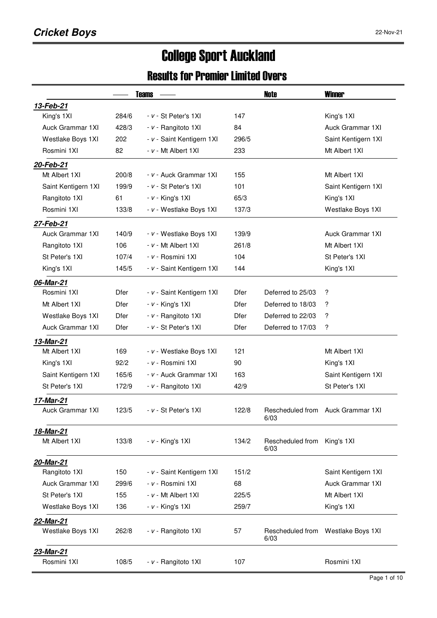# College Sport Auckland

### Results for Premier Limited Overs

|                         |             | <b>Teams</b>              |             | Note                     | <b>Winner</b>           |
|-------------------------|-------------|---------------------------|-------------|--------------------------|-------------------------|
| 13-Feb-21               |             |                           |             |                          |                         |
| King's 1XI              | 284/6       | - v - St Peter's 1XI      | 147         |                          | King's 1XI              |
| <b>Auck Grammar 1XI</b> | 428/3       | - v - Rangitoto 1XI       | 84          |                          | Auck Grammar 1XI        |
| Westlake Boys 1XI       | 202         | - v - Saint Kentigern 1XI | 296/5       |                          | Saint Kentigern 1XI     |
| Rosmini 1XI             | 82          | - v - Mt Albert 1XI       | 233         |                          | Mt Albert 1XI           |
| 20-Feb-21               |             |                           |             |                          |                         |
| Mt Albert 1XI           | 200/8       | - v - Auck Grammar 1XI    | 155         |                          | Mt Albert 1XI           |
| Saint Kentigern 1XI     | 199/9       | - v - St Peter's 1XI      | 101         |                          | Saint Kentigern 1XI     |
| Rangitoto 1XI           | 61          | $- v -$ King's 1XI        | 65/3        |                          | King's 1XI              |
| Rosmini 1XI             | 133/8       | - v - Westlake Boys 1XI   | 137/3       |                          | Westlake Boys 1XI       |
| 27-Feb-21               |             |                           |             |                          |                         |
| <b>Auck Grammar 1XI</b> | 140/9       | - v - Westlake Boys 1XI   | 139/9       |                          | Auck Grammar 1XI        |
| Rangitoto 1XI           | 106         | $- v - Mt$ Albert 1XI     | 261/8       |                          | Mt Albert 1XI           |
| St Peter's 1XI          | 107/4       | - v - Rosmini 1XI         | 104         |                          | St Peter's 1XI          |
| King's 1XI              | 145/5       | - v - Saint Kentigern 1XI | 144         |                          | King's 1XI              |
| 06-Mar-21               |             |                           |             |                          |                         |
| Rosmini 1XI             | Dfer        | - v - Saint Kentigern 1XI | Dfer        | Deferred to 25/03        | ?                       |
| Mt Albert 1XI           | <b>Dfer</b> | $- v -$ King's 1XI        | <b>Dfer</b> | Deferred to 18/03        | ?                       |
| Westlake Boys 1XI       | Dfer        | - v - Rangitoto 1XI       | Dfer        | Deferred to 22/03        | ?                       |
| Auck Grammar 1XI        | Dfer        | - v - St Peter's 1XI      | Dfer        | Deferred to 17/03        | ?                       |
| 13-Mar-21               |             |                           |             |                          |                         |
| Mt Albert 1XI           | 169         | - v - Westlake Boys 1XI   | 121         |                          | Mt Albert 1XI           |
| King's 1XI              | 92/2        | - v - Rosmini 1XI         | 90          |                          | King's 1XI              |
| Saint Kentigern 1XI     | 165/6       | - v - Auck Grammar 1XI    | 163         |                          | Saint Kentigern 1XI     |
| St Peter's 1XI          | 172/9       | - v - Rangitoto 1XI       | 42/9        |                          | St Peter's 1XI          |
| 17-Mar-21               |             |                           |             |                          |                         |
| Auck Grammar 1XI        | 123/5       | - v - St Peter's 1XI      | 122/8       | Rescheduled from<br>6/03 | Auck Grammar 1XI        |
| 18-Mar-21               |             |                           |             |                          |                         |
| Mt Albert 1XI           | 133/8       | $- v -$ King's 1XI        | 134/2       | Rescheduled from<br>6/03 | King's 1XI              |
| 20-Mar-21               |             |                           |             |                          |                         |
| Rangitoto 1XI           | 150         | - v - Saint Kentigern 1XI | 151/2       |                          | Saint Kentigern 1XI     |
| Auck Grammar 1XI        | 299/6       | - v - Rosmini 1XI         | 68          |                          | <b>Auck Grammar 1XI</b> |
| St Peter's 1XI          | 155         | - v - Mt Albert 1XI       | 225/5       |                          | Mt Albert 1XI           |
| Westlake Boys 1XI       | 136         | $- v -$ King's 1XI        | 259/7       |                          | King's 1XI              |
| 22-Mar-21               |             |                           |             |                          |                         |
| Westlake Boys 1XI       | 262/8       | - v - Rangitoto 1XI       | 57          | Rescheduled from<br>6/03 | Westlake Boys 1XI       |
| <u>23-Mar-21</u>        |             |                           |             |                          |                         |
| Rosmini 1XI             | 108/5       | - v - Rangitoto 1XI       | 107         |                          | Rosmini 1XI             |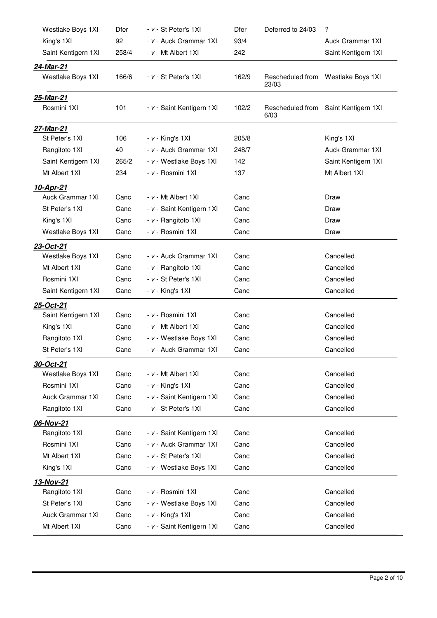| Westlake Boys 1XI   | Dfer  | - v - St Peter's 1XI      | Dfer  | Deferred to 24/03        | ?                                  |
|---------------------|-------|---------------------------|-------|--------------------------|------------------------------------|
| King's 1XI          | 92    | - v - Auck Grammar 1XI    | 93/4  |                          | Auck Grammar 1XI                   |
| Saint Kentigern 1XI | 258/4 | - v - Mt Albert 1XI       | 242   |                          | Saint Kentigern 1XI                |
| 24-Mar-21           |       |                           |       |                          |                                    |
| Westlake Boys 1XI   | 166/6 | - v - St Peter's 1XI      | 162/9 | 23/03                    | Rescheduled from Westlake Boys 1XI |
| 25-Mar-21           |       |                           |       |                          |                                    |
| Rosmini 1XI         | 101   | - v - Saint Kentigern 1XI | 102/2 | Rescheduled from<br>6/03 | Saint Kentigern 1XI                |
| 27-Mar-21           |       |                           |       |                          |                                    |
| St Peter's 1XI      | 106   | $- v -$ King's 1XI        | 205/8 |                          | King's 1XI                         |
| Rangitoto 1XI       | 40    | - v - Auck Grammar 1XI    | 248/7 |                          | Auck Grammar 1XI                   |
| Saint Kentigern 1XI | 265/2 | - v - Westlake Boys 1XI   | 142   |                          | Saint Kentigern 1XI                |
| Mt Albert 1XI       | 234   | - v - Rosmini 1XI         | 137   |                          | Mt Albert 1XI                      |
| 10-Apr-21           |       |                           |       |                          |                                    |
| Auck Grammar 1XI    | Canc  | - v - Mt Albert 1XI       | Canc  |                          | Draw                               |
| St Peter's 1XI      | Canc  | - v - Saint Kentigern 1XI | Canc  |                          | Draw                               |
| King's 1XI          | Canc  | - v - Rangitoto 1XI       | Canc  |                          | Draw                               |
| Westlake Boys 1XI   | Canc  | - v - Rosmini 1XI         | Canc  |                          | Draw                               |
| 23-Oct-21           |       |                           |       |                          |                                    |
| Westlake Boys 1XI   | Canc  | - v - Auck Grammar 1XI    | Canc  |                          | Cancelled                          |
| Mt Albert 1XI       | Canc  | - v - Rangitoto 1XI       | Canc  |                          | Cancelled                          |
| Rosmini 1XI         | Canc  | - v - St Peter's 1XI      | Canc  |                          | Cancelled                          |
| Saint Kentigern 1XI | Canc  | $- v -$ King's 1XI        | Canc  |                          | Cancelled                          |
| 25-Oct-21           |       |                           |       |                          |                                    |
| Saint Kentigern 1XI | Canc  | - v - Rosmini 1XI         | Canc  |                          | Cancelled                          |
| King's 1XI          | Canc  | - v - Mt Albert 1XI       | Canc  |                          | Cancelled                          |
| Rangitoto 1XI       | Canc  | - v - Westlake Boys 1XI   | Canc  |                          | Cancelled                          |
| St Peter's 1XI      | Canc  | - v - Auck Grammar 1XI    | Canc  |                          | Cancelled                          |
| 30-Oct-21           |       |                           |       |                          |                                    |
| Westlake Boys 1XI   | Canc  | - v - Mt Albert 1XI       | Canc  |                          | Cancelled                          |
| Rosmini 1XI         | Canc  | $- v -$ King's 1XI        | Canc  |                          | Cancelled                          |
| Auck Grammar 1XI    | Canc  | - v - Saint Kentigern 1XI | Canc  |                          | Cancelled                          |
| Rangitoto 1XI       | Canc  | - v - St Peter's 1XI      | Canc  |                          | Cancelled                          |
| 06-Nov-21           |       |                           |       |                          |                                    |
| Rangitoto 1XI       | Canc  | - v - Saint Kentigern 1XI | Canc  |                          | Cancelled                          |
| Rosmini 1XI         | Canc  | - v - Auck Grammar 1XI    | Canc  |                          | Cancelled                          |
| Mt Albert 1XI       | Canc  | - v - St Peter's 1XI      | Canc  |                          | Cancelled                          |
| King's 1XI          | Canc  | - v - Westlake Boys 1XI   | Canc  |                          | Cancelled                          |
| 13-Nov-21           |       |                           |       |                          |                                    |
| Rangitoto 1XI       | Canc  | - v - Rosmini 1XI         | Canc  |                          | Cancelled                          |
| St Peter's 1XI      | Canc  | - v - Westlake Boys 1XI   | Canc  |                          | Cancelled                          |
| Auck Grammar 1XI    | Canc  | $- v -$ King's 1XI        | Canc  |                          | Cancelled                          |
| Mt Albert 1XI       | Canc  | - v - Saint Kentigern 1XI | Canc  |                          | Cancelled                          |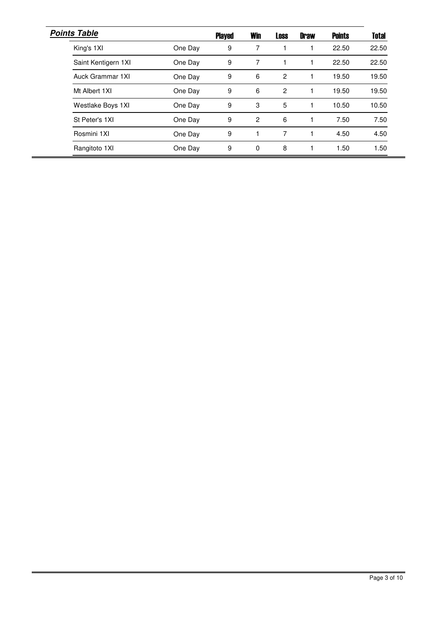| <b>Points Table</b> |         | <b>Played</b> | <b>Win</b>     | <b>Loss</b> | <b>Draw</b> | <b>Points</b> | <b>Total</b> |
|---------------------|---------|---------------|----------------|-------------|-------------|---------------|--------------|
| King's 1XI          | One Day | 9             | 7              |             |             | 22.50         | 22.50        |
| Saint Kentigern 1XI | One Day | 9             | 7              |             |             | 22.50         | 22.50        |
| Auck Grammar 1XI    | One Day | 9             | 6              | 2           |             | 19.50         | 19.50        |
| Mt Albert 1XI       | One Day | 9             | 6              | 2           |             | 19.50         | 19.50        |
| Westlake Boys 1XI   | One Day | 9             | 3              | 5           |             | 10.50         | 10.50        |
| St Peter's 1XI      | One Day | 9             | $\overline{2}$ | 6           |             | 7.50          | 7.50         |
| Rosmini 1XI         | One Day | 9             |                | 7           |             | 4.50          | 4.50         |
| Rangitoto 1XI       | One Day | 9             | 0              | 8           |             | 1.50          | 1.50         |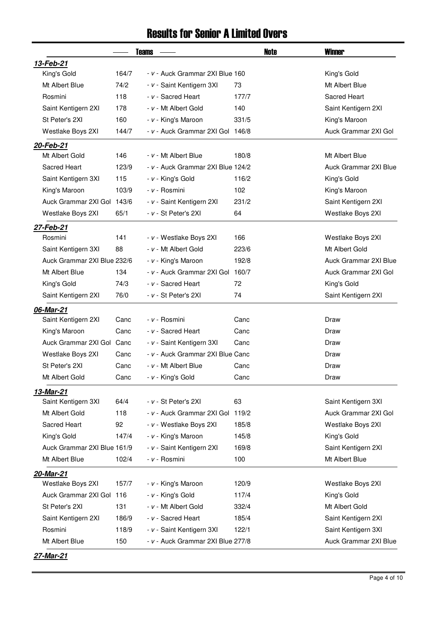#### Results for Senior A Limited Overs

|                                  |       | <b>Teams</b>                      | Note  | <b>Winner</b>         |
|----------------------------------|-------|-----------------------------------|-------|-----------------------|
| 13-Feb-21                        |       |                                   |       |                       |
| King's Gold                      | 164/7 | - v - Auck Grammar 2XI Blue 160   |       | King's Gold           |
| Mt Albert Blue                   | 74/2  | - v - Saint Kentigern 3XI         | 73    | Mt Albert Blue        |
| Rosmini                          | 118   | - v - Sacred Heart                | 177/7 | Sacred Heart          |
| Saint Kentigern 2XI              | 178   | - v - Mt Albert Gold              | 140   | Saint Kentigern 2XI   |
| St Peter's 2XI                   | 160   | - v - King's Maroon               | 331/5 | King's Maroon         |
| Westlake Boys 2XI                | 144/7 | - v - Auck Grammar 2XI Gol 146/8  |       | Auck Grammar 2XI Gol  |
| 20-Feb-21                        |       |                                   |       |                       |
| Mt Albert Gold                   | 146   | - v - Mt Albert Blue              | 180/8 | Mt Albert Blue        |
| Sacred Heart                     | 123/9 | - v - Auck Grammar 2XI Blue 124/2 |       | Auck Grammar 2XI Blue |
| Saint Kentigern 3XI              | 115   | - v - King's Gold                 | 116/2 | King's Gold           |
| King's Maroon                    | 103/9 | - v - Rosmini                     | 102   | King's Maroon         |
| Auck Grammar 2XI Gol             | 143/6 | - v - Saint Kentigern 2XI         | 231/2 | Saint Kentigern 2XI   |
| Westlake Boys 2XI                | 65/1  | - v - St Peter's 2XI              | 64    | Westlake Boys 2XI     |
| 27-Feb-21                        |       |                                   |       |                       |
| Rosmini                          | 141   | - v - Westlake Boys 2XI           | 166   | Westlake Boys 2XI     |
| Saint Kentigern 3XI              | 88    | - v - Mt Albert Gold              | 223/6 | Mt Albert Gold        |
| Auck Grammar 2XI Blue 232/6      |       | - v - King's Maroon               | 192/8 | Auck Grammar 2XI Blue |
| Mt Albert Blue                   | 134   | - v - Auck Grammar 2XI Gol        | 160/7 | Auck Grammar 2XI Gol  |
| King's Gold                      | 74/3  | - v - Sacred Heart                | 72    | King's Gold           |
| Saint Kentigern 2XI              | 76/0  | - v - St Peter's 2XI              | 74    | Saint Kentigern 2XI   |
|                                  |       |                                   |       |                       |
| 06-Mar-21<br>Saint Kentigern 2XI | Canc  | - v - Rosmini                     | Canc  | Draw                  |
| King's Maroon                    | Canc  | - v - Sacred Heart                | Canc  | Draw                  |
| Auck Grammar 2XI Gol             | Canc  | - v - Saint Kentigern 3XI         | Canc  | Draw                  |
| Westlake Boys 2XI                | Canc  | - v - Auck Grammar 2XI Blue Canc  |       | Draw                  |
| St Peter's 2XI                   | Canc  | - v - Mt Albert Blue              | Canc  | Draw                  |
| Mt Albert Gold                   | Canc  | - v - King's Gold                 | Canc  | Draw                  |
|                                  |       |                                   |       |                       |
| 13-Mar-21<br>Saint Kentigern 3XI | 64/4  | - v - St Peter's 2XI              | 63    | Saint Kentigern 3XI   |
| Mt Albert Gold                   | 118   | - v - Auck Grammar 2XI Gol        | 119/2 | Auck Grammar 2XI Gol  |
| Sacred Heart                     | 92    | - v - Westlake Boys 2XI           | 185/8 | Westlake Boys 2XI     |
| King's Gold                      | 147/4 | - v - King's Maroon               | 145/8 | King's Gold           |
| Auck Grammar 2XI Blue 161/9      |       | - v - Saint Kentigern 2XI         | 169/8 | Saint Kentigern 2XI   |
| Mt Albert Blue                   | 102/4 | - v - Rosmini                     | 100   | Mt Albert Blue        |
|                                  |       |                                   |       |                       |
| 20-Mar-21<br>Westlake Boys 2XI   | 157/7 |                                   | 120/9 |                       |
| Auck Grammar 2XI Gol             | 116   | - v - King's Maroon               | 117/4 | Westlake Boys 2XI     |
|                                  |       | - v - King's Gold                 |       | King's Gold           |
| St Peter's 2XI                   | 131   | - v - Mt Albert Gold              | 332/4 | Mt Albert Gold        |
| Saint Kentigern 2XI              | 186/9 | - v - Sacred Heart                | 185/4 | Saint Kentigern 2XI   |
| Rosmini                          | 118/9 | - v - Saint Kentigern 3XI         | 122/1 | Saint Kentigern 3XI   |
| Mt Albert Blue                   | 150   | - v - Auck Grammar 2XI Blue 277/8 |       | Auck Grammar 2XI Blue |

Page 4 of 10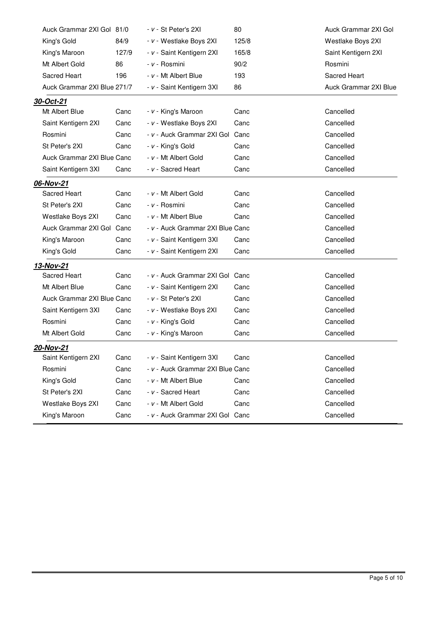| Auck Grammar 2XI Gol 81/0   |       | - v - St Peter's 2XI             | 80    | Auck Grammar 2XI Gol  |
|-----------------------------|-------|----------------------------------|-------|-----------------------|
| King's Gold                 | 84/9  | - v - Westlake Boys 2XI          | 125/8 | Westlake Boys 2XI     |
| King's Maroon               | 127/9 | - v - Saint Kentigern 2XI        | 165/8 | Saint Kentigern 2XI   |
| Mt Albert Gold              | 86    | - v - Rosmini                    | 90/2  | Rosmini               |
| Sacred Heart                | 196   | - v - Mt Albert Blue             | 193   | <b>Sacred Heart</b>   |
| Auck Grammar 2XI Blue 271/7 |       | - v - Saint Kentigern 3XI        | 86    | Auck Grammar 2XI Blue |
| <u>30-Oct-21</u>            |       |                                  |       |                       |
| Mt Albert Blue              | Canc  | - v - King's Maroon              | Canc  | Cancelled             |
| Saint Kentigern 2XI         | Canc  | - v - Westlake Boys 2XI          | Canc  | Cancelled             |
| Rosmini                     | Canc  | - v - Auck Grammar 2XI Gol       | Canc  | Cancelled             |
| St Peter's 2XI              | Canc  | - v - King's Gold                | Canc  | Cancelled             |
| Auck Grammar 2XI Blue Canc  |       | - v - Mt Albert Gold             | Canc  | Cancelled             |
| Saint Kentigern 3XI         | Canc  | - v - Sacred Heart               | Canc  | Cancelled             |
| 06-Nov-21                   |       |                                  |       |                       |
| Sacred Heart                | Canc  | - v - Mt Albert Gold             | Canc  | Cancelled             |
| St Peter's 2XI              | Canc  | - v - Rosmini                    | Canc  | Cancelled             |
| Westlake Boys 2XI           | Canc  | - v - Mt Albert Blue             | Canc  | Cancelled             |
| Auck Grammar 2XI Gol Canc   |       | - v - Auck Grammar 2XI Blue Canc |       | Cancelled             |
| King's Maroon               | Canc  | - v - Saint Kentigern 3XI        | Canc  | Cancelled             |
| King's Gold                 | Canc  | - v - Saint Kentigern 2XI        | Canc  | Cancelled             |
| 13-Nov-21                   |       |                                  |       |                       |
| Sacred Heart                | Canc  | - v - Auck Grammar 2XI Gol       | Canc  | Cancelled             |
| Mt Albert Blue              | Canc  | - v - Saint Kentigern 2XI        | Canc  | Cancelled             |
| Auck Grammar 2XI Blue Canc  |       | - v - St Peter's 2XI             | Canc  | Cancelled             |
| Saint Kentigern 3XI         | Canc  | - v - Westlake Boys 2XI          | Canc  | Cancelled             |
| Rosmini                     | Canc  | - v - King's Gold                | Canc  | Cancelled             |
| Mt Albert Gold              | Canc  | - v - King's Maroon              | Canc  | Cancelled             |
| <u>20-Nov-21</u>            |       |                                  |       |                       |
| Saint Kentigern 2XI         | Canc  | - v - Saint Kentigern 3XI        | Canc  | Cancelled             |
| Rosmini                     | Canc  | - v - Auck Grammar 2XI Blue Canc |       | Cancelled             |
| King's Gold                 | Canc  | - v - Mt Albert Blue             | Canc  | Cancelled             |
| St Peter's 2XI              | Canc  | - v - Sacred Heart               | Canc  | Cancelled             |
| Westlake Boys 2XI           | Canc  | - v - Mt Albert Gold             | Canc  | Cancelled             |
| King's Maroon               | Canc  | - v - Auck Grammar 2XI Gol Canc  |       | Cancelled             |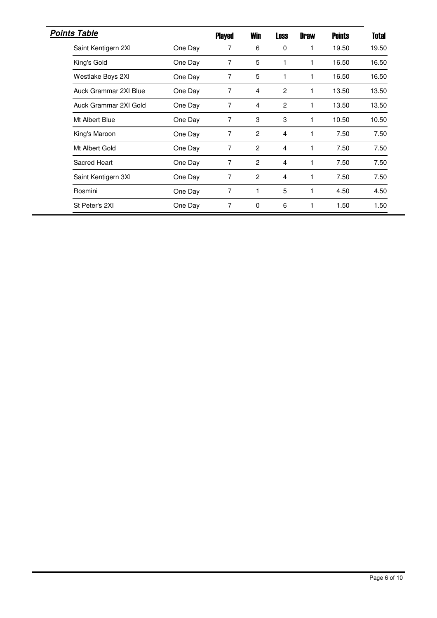| <b>Points Table</b>   |         | <b>Played</b> | <b>Win</b>     | <b>Loss</b>    | <b>Draw</b> | <b>Points</b> | Total |
|-----------------------|---------|---------------|----------------|----------------|-------------|---------------|-------|
| Saint Kentigern 2XI   | One Day | 7             | 6              | 0              | 1           | 19.50         | 19.50 |
| King's Gold           | One Day | 7             | 5              | 1              |             | 16.50         | 16.50 |
| Westlake Boys 2XI     | One Day | 7             | 5              | $\mathbf{1}$   |             | 16.50         | 16.50 |
| Auck Grammar 2XI Blue | One Day | 7             | 4              | $\overline{2}$ |             | 13.50         | 13.50 |
| Auck Grammar 2XI Gold | One Day | 7             | 4              | $\overline{2}$ | 1           | 13.50         | 13.50 |
| Mt Albert Blue        | One Day | 7             | 3              | 3              |             | 10.50         | 10.50 |
| King's Maroon         | One Day | 7             | $\overline{2}$ | 4              |             | 7.50          | 7.50  |
| Mt Albert Gold        | One Day | 7             | $\overline{2}$ | 4              |             | 7.50          | 7.50  |
| Sacred Heart          | One Day | 7             | $\overline{2}$ | 4              |             | 7.50          | 7.50  |
| Saint Kentigern 3XI   | One Day | 7             | 2              | 4              |             | 7.50          | 7.50  |
| Rosmini               | One Day | 7             | 1              | 5              |             | 4.50          | 4.50  |
| St Peter's 2XI        | One Day | 7             | 0              | 6              | 1           | 1.50          | 1.50  |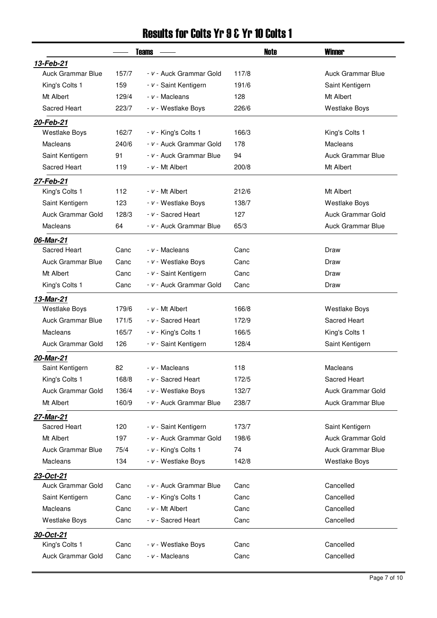### Results for Colts Yr 9 & Yr 10 Colts 1

|                          |       | <b>Teams</b>            | Note  | <b>Winner</b>            |
|--------------------------|-------|-------------------------|-------|--------------------------|
| 13-Feb-21                |       |                         |       |                          |
| <b>Auck Grammar Blue</b> | 157/7 | - v - Auck Grammar Gold | 117/8 | <b>Auck Grammar Blue</b> |
| King's Colts 1           | 159   | - v - Saint Kentigern   | 191/6 | Saint Kentigern          |
| Mt Albert                | 129/4 | - v - Macleans          | 128   | Mt Albert                |
| Sacred Heart             | 223/7 | - v - Westlake Boys     | 226/6 | <b>Westlake Boys</b>     |
| 20-Feb-21                |       |                         |       |                          |
| <b>Westlake Boys</b>     | 162/7 | - v - King's Colts 1    | 166/3 | King's Colts 1           |
| Macleans                 | 240/6 | - v - Auck Grammar Gold | 178   | Macleans                 |
| Saint Kentigern          | 91    | - v - Auck Grammar Blue | 94    | Auck Grammar Blue        |
| Sacred Heart             | 119   | - v - Mt Albert         | 200/8 | Mt Albert                |
| 27-Feb-21                |       |                         |       |                          |
| King's Colts 1           | 112   | $- v - Mt$ Albert       | 212/6 | Mt Albert                |
| Saint Kentigern          | 123   | - v - Westlake Boys     | 138/7 | <b>Westlake Boys</b>     |
| <b>Auck Grammar Gold</b> | 128/3 | - v - Sacred Heart      | 127   | <b>Auck Grammar Gold</b> |
| Macleans                 | 64    | - v - Auck Grammar Blue | 65/3  | Auck Grammar Blue        |
| 06-Mar-21                |       |                         |       |                          |
| Sacred Heart             | Canc  | - v - Macleans          | Canc  | Draw                     |
| <b>Auck Grammar Blue</b> | Canc  | - v - Westlake Boys     | Canc  | Draw                     |
| Mt Albert                | Canc  | - v - Saint Kentigern   | Canc  | Draw                     |
| King's Colts 1           | Canc  | - v - Auck Grammar Gold | Canc  | Draw                     |
| 13-Mar-21                |       |                         |       |                          |
| <b>Westlake Boys</b>     | 179/6 | $- v - Mt$ Albert       | 166/8 | <b>Westlake Boys</b>     |
| <b>Auck Grammar Blue</b> | 171/5 | - v - Sacred Heart      | 172/9 | Sacred Heart             |
| Macleans                 | 165/7 | - v - King's Colts 1    | 166/5 | King's Colts 1           |
| Auck Grammar Gold        | 126   | - v - Saint Kentigern   | 128/4 | Saint Kentigern          |
| 20-Mar-21                |       |                         |       |                          |
| Saint Kentigern          | 82    | - v - Macleans          | 118   | Macleans                 |
| King's Colts 1           | 168/8 | - v - Sacred Heart      | 172/5 | Sacred Heart             |
| Auck Grammar Gold        | 136/4 | - v - Westlake Boys     | 132/7 | Auck Grammar Gold        |
| Mt Albert                | 160/9 | - v - Auck Grammar Blue | 238/7 | <b>Auck Grammar Blue</b> |
| 27-Mar-21                |       |                         |       |                          |
| Sacred Heart             | 120   | - v - Saint Kentigern   | 173/7 | Saint Kentigern          |
| Mt Albert                | 197   | - v - Auck Grammar Gold | 198/6 | Auck Grammar Gold        |
| <b>Auck Grammar Blue</b> | 75/4  | - v - King's Colts 1    | 74    | <b>Auck Grammar Blue</b> |
| Macleans                 | 134   | - v - Westlake Boys     | 142/8 | <b>Westlake Boys</b>     |
| 23-Oct-21                |       |                         |       |                          |
| Auck Grammar Gold        | Canc  | - v - Auck Grammar Blue | Canc  | Cancelled                |
| Saint Kentigern          | Canc  | - v - King's Colts 1    | Canc  | Cancelled                |
| Macleans                 | Canc  | $- v - Mt$ Albert       | Canc  | Cancelled                |
| <b>Westlake Boys</b>     | Canc  | - v - Sacred Heart      | Canc  | Cancelled                |
| 30-Oct-21                |       |                         |       |                          |
| King's Colts 1           | Canc  | - v - Westlake Boys     | Canc  | Cancelled                |
| Auck Grammar Gold        | Canc  | - v - Macleans          | Canc  | Cancelled                |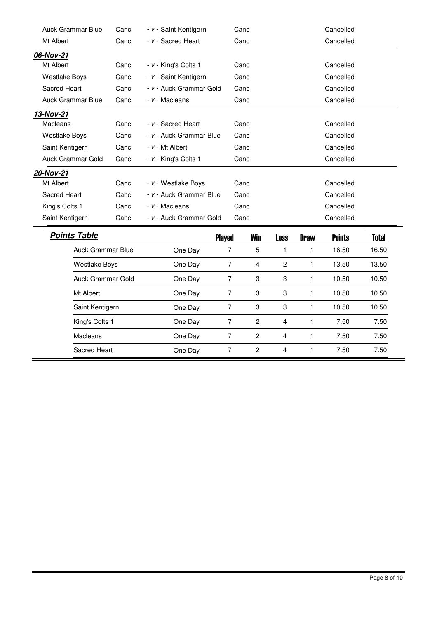| <b>Auck Grammar Blue</b> | Canc | - v - Saint Kentigern   | Canc | Cancelled                                     |
|--------------------------|------|-------------------------|------|-----------------------------------------------|
| Mt Albert                | Canc | - v - Sacred Heart      | Canc | Cancelled                                     |
| 06-Nov-21                |      |                         |      |                                               |
| Mt Albert                | Canc | - v - King's Colts 1    | Canc | Cancelled                                     |
| <b>Westlake Boys</b>     | Canc | - v - Saint Kentigern   | Canc | Cancelled                                     |
| Sacred Heart             | Canc | - v - Auck Grammar Gold | Canc | Cancelled                                     |
| Auck Grammar Blue        | Canc | - v - Macleans          | Canc | Cancelled                                     |
| 13-Nov-21                |      |                         |      |                                               |
| Macleans                 | Canc | - v - Sacred Heart      | Canc | Cancelled                                     |
| Westlake Boys            | Canc | - v - Auck Grammar Blue | Canc | Cancelled                                     |
| Saint Kentigern          | Canc | $- v - Mt$ Albert       | Canc | Cancelled                                     |
| Auck Grammar Gold        | Canc | - v - King's Colts 1    | Canc | Cancelled                                     |
| 20-Nov-21                |      |                         |      |                                               |
| Mt Albert                | Canc | - v - Westlake Boys     | Canc | Cancelled                                     |
| Sacred Heart             | Canc | - v - Auck Grammar Blue | Canc | Cancelled                                     |
| King's Colts 1           | Canc | - v - Macleans          | Canc | Cancelled                                     |
| Saint Kentigern          | Canc | - v - Auck Grammar Gold | Canc | Cancelled                                     |
| <b>Points Table</b>      |      | <b>Played</b>           | Win  | Total<br><b>Points</b><br>Loss<br><b>Draw</b> |

|         | <b>Played</b> | <b>Win</b>     | <b>Loss</b>    | <b>Draw</b> | <b>Points</b> | <b>Total</b> |
|---------|---------------|----------------|----------------|-------------|---------------|--------------|
| One Day | 7             | 5              |                |             | 16.50         | 16.50        |
| One Day | 7             | 4              | $\overline{2}$ |             | 13.50         | 13.50        |
| One Day | 7             | 3              | 3              |             | 10.50         | 10.50        |
| One Day | 7             | 3              | 3              |             | 10.50         | 10.50        |
| One Day | 7             | 3              | 3              |             | 10.50         | 10.50        |
| One Day | 7             | $\mathfrak{p}$ | 4              |             | 7.50          | 7.50         |
| One Day | 7             | 2              | 4              |             | 7.50          | 7.50         |
| One Day | 7             | 2              | 4              |             | 7.50          | 7.50         |
|         |               |                |                |             |               |              |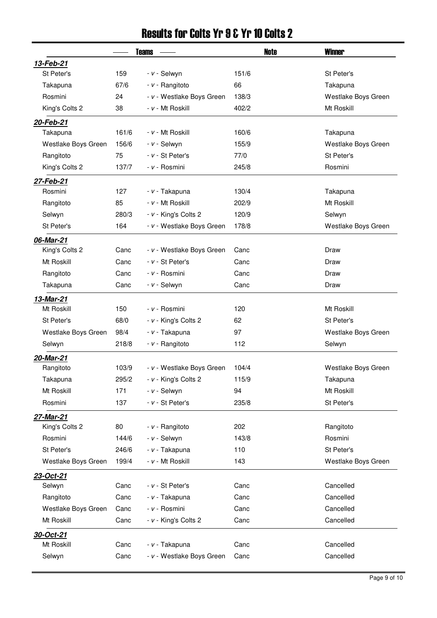## Results for Colts Yr 9 & Yr 10 Colts 2

|                     |       | <b>Teams</b>              | Note  | <b>Winner</b>       |
|---------------------|-------|---------------------------|-------|---------------------|
| 13-Feb-21           |       |                           |       |                     |
| St Peter's          | 159   | - v - Selwyn              | 151/6 | St Peter's          |
| Takapuna            | 67/6  | $- v -$ Rangitoto         | 66    | Takapuna            |
| Rosmini             | 24    | - v - Westlake Boys Green | 138/3 | Westlake Boys Green |
| King's Colts 2      | 38    | - v - Mt Roskill          | 402/2 | Mt Roskill          |
| 20-Feb-21           |       |                           |       |                     |
| Takapuna            | 161/6 | - v - Mt Roskill          | 160/6 | Takapuna            |
| Westlake Boys Green | 156/6 | - v - Selwyn              | 155/9 | Westlake Boys Green |
| Rangitoto           | 75    | - v - St Peter's          | 77/0  | St Peter's          |
| King's Colts 2      | 137/7 | - v - Rosmini             | 245/8 | Rosmini             |
| 27-Feb-21           |       |                           |       |                     |
| Rosmini             | 127   | - v - Takapuna            | 130/4 | Takapuna            |
| Rangitoto           | 85    | - v - Mt Roskill          | 202/9 | Mt Roskill          |
| Selwyn              | 280/3 | - v - King's Colts 2      | 120/9 | Selwyn              |
| St Peter's          | 164   | - v - Westlake Boys Green | 178/8 | Westlake Boys Green |
| 06-Mar-21           |       |                           |       |                     |
| King's Colts 2      | Canc  | - v - Westlake Boys Green | Canc  | Draw                |
| Mt Roskill          | Canc  | $- v - St$ Peter's        | Canc  | Draw                |
| Rangitoto           | Canc  | - v - Rosmini             | Canc  | Draw                |
| Takapuna            | Canc  | - v - Selwyn              | Canc  | Draw                |
| 13-Mar-21           |       |                           |       |                     |
| Mt Roskill          | 150   | - v - Rosmini             | 120   | Mt Roskill          |
| St Peter's          | 68/0  | - v - King's Colts 2      | 62    | St Peter's          |
| Westlake Boys Green | 98/4  | - v - Takapuna            | 97    | Westlake Boys Green |
| Selwyn              | 218/8 | - v - Rangitoto           | 112   | Selwyn              |
| 20-Mar-21           |       |                           |       |                     |
| Rangitoto           | 103/9 | - v - Westlake Boys Green | 104/4 | Westlake Boys Green |
| Takapuna            | 295/2 | - v - King's Colts 2      | 115/9 | Takapuna            |
| Mt Roskill          | 171   | - v - Selwyn              | 94    | Mt Roskill          |
| Rosmini             | 137   | $- v - St$ Peter's        | 235/8 | St Peter's          |
| 27-Mar-21           |       |                           |       |                     |
| King's Colts 2      | 80    | - v - Rangitoto           | 202   | Rangitoto           |
| Rosmini             | 144/6 | - v - Selwyn              | 143/8 | Rosmini             |
| St Peter's          | 246/6 | - v - Takapuna            | 110   | St Peter's          |
| Westlake Boys Green | 199/4 | - v - Mt Roskill          | 143   | Westlake Boys Green |
| 23-Oct-21           |       |                           |       |                     |
| Selwyn              | Canc  | - v - St Peter's          | Canc  | Cancelled           |
| Rangitoto           | Canc  | - v - Takapuna            | Canc  | Cancelled           |
| Westlake Boys Green | Canc  | - v - Rosmini             | Canc  | Cancelled           |
| Mt Roskill          | Canc  | - v - King's Colts 2      | Canc  | Cancelled           |
| 30-Oct-21           |       |                           |       |                     |
| Mt Roskill          | Canc  | - v - Takapuna            | Canc  | Cancelled           |
| Selwyn              | Canc  | - v - Westlake Boys Green | Canc  | Cancelled           |